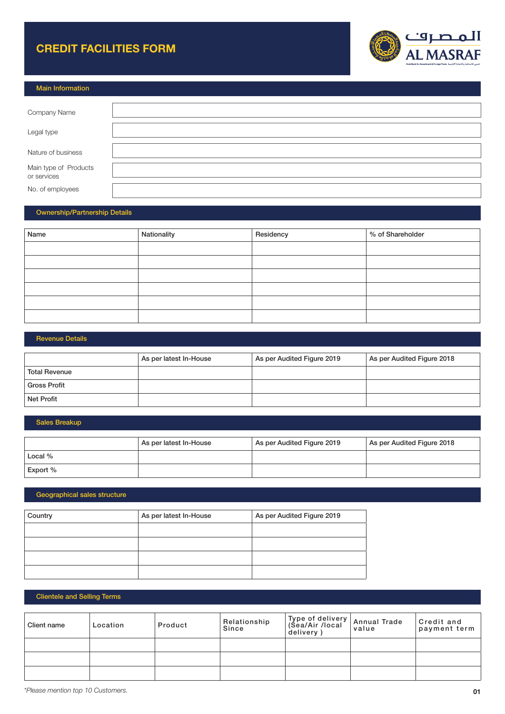## CREDIT FACILITIES FORM



| <b>Main Information</b>              |  |
|--------------------------------------|--|
|                                      |  |
| Company Name                         |  |
|                                      |  |
| Legal type                           |  |
|                                      |  |
| Nature of business                   |  |
|                                      |  |
| Main type of Products<br>or services |  |
|                                      |  |
| No. of employees                     |  |

#### Ownership/Partnership Details

| Name | Nationality | Residency | % of Shareholder |
|------|-------------|-----------|------------------|
|      |             |           |                  |
|      |             |           |                  |
|      |             |           |                  |
|      |             |           |                  |
|      |             |           |                  |
|      |             |           |                  |

#### Revenue Details

|                      | As per latest In-House | As per Audited Figure 2019 | As per Audited Figure 2018 |
|----------------------|------------------------|----------------------------|----------------------------|
| <b>Total Revenue</b> |                        |                            |                            |
| <b>Gross Profit</b>  |                        |                            |                            |
| Net Profit           |                        |                            |                            |

#### Sales Breakup

|           | As per latest In-House | As per Audited Figure 2019 | As per Audited Figure 2018 |
|-----------|------------------------|----------------------------|----------------------------|
| Local $%$ |                        |                            |                            |
| Export %  |                        |                            |                            |

## Geographical sales structure

| Country | As per latest In-House | As per Audited Figure 2019 |
|---------|------------------------|----------------------------|
|         |                        |                            |
|         |                        |                            |
|         |                        |                            |
|         |                        |                            |

## Clientele and Selling Terms

| Client name | Location | Product | Relationship<br>Since | Type of delivery<br>(Sea/Air /local<br>delivery ) | Annual Trade<br>value | Credit and<br>payment term |
|-------------|----------|---------|-----------------------|---------------------------------------------------|-----------------------|----------------------------|
|             |          |         |                       |                                                   |                       |                            |
|             |          |         |                       |                                                   |                       |                            |
|             |          |         |                       |                                                   |                       |                            |